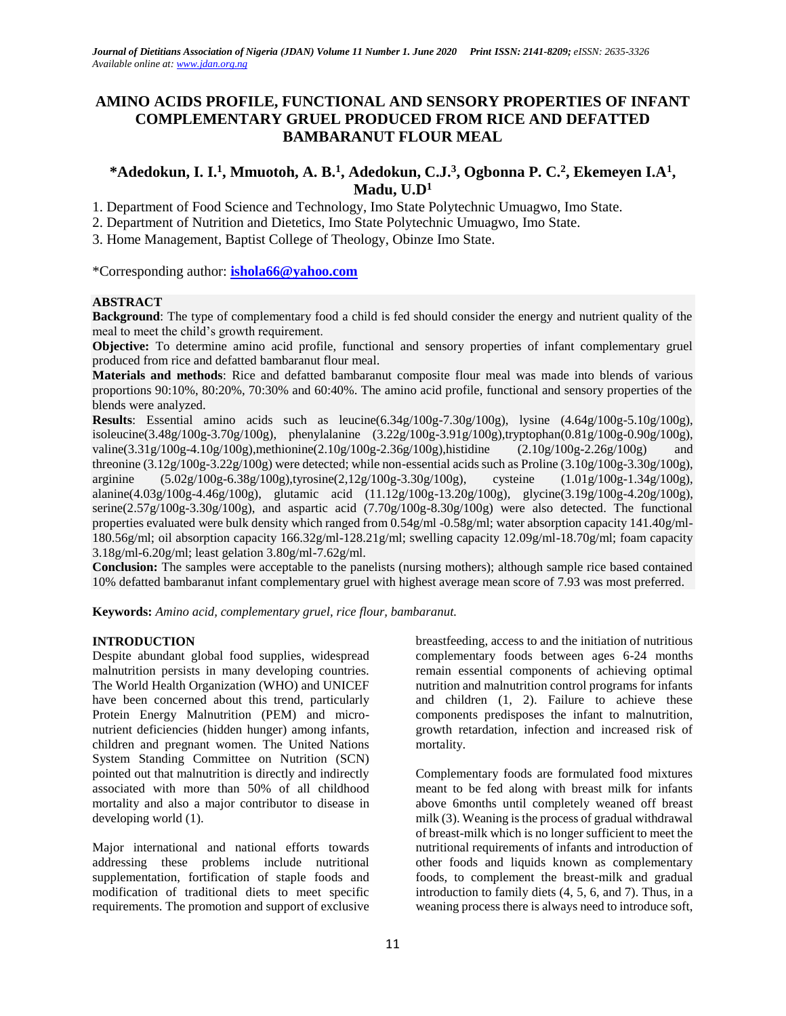# **AMINO ACIDS PROFILE, FUNCTIONAL AND SENSORY PROPERTIES OF INFANT COMPLEMENTARY GRUEL PRODUCED FROM RICE AND DEFATTED BAMBARANUT FLOUR MEAL**

# **\*Adedokun, I. I.<sup>1</sup> , Mmuotoh, A. B.<sup>1</sup> , Adedokun, C.J.<sup>3</sup> , Ogbonna P. C.<sup>2</sup> , Ekemeyen I.A<sup>1</sup> , Madu, U.D<sup>1</sup>**

1. Department of Food Science and Technology, Imo State Polytechnic Umuagwo, Imo State.

2. Department of Nutrition and Dietetics, Imo State Polytechnic Umuagwo, Imo State.

3. Home Management, Baptist College of Theology, Obinze Imo State.

\*Corresponding author: **[ishola66@yahoo.com](mailto:ishola66@yahoo.com)**

## **ABSTRACT**

**Background**: The type of complementary food a child is fed should consider the energy and nutrient quality of the meal to meet the child's growth requirement.

**Objective:** To determine amino acid profile, functional and sensory properties of infant complementary gruel produced from rice and defatted bambaranut flour meal.

**Materials and methods**: Rice and defatted bambaranut composite flour meal was made into blends of various proportions 90:10%, 80:20%, 70:30% and 60:40%. The amino acid profile, functional and sensory properties of the blends were analyzed.

**Results**: Essential amino acids such as leucine(6.34g/100g-7.30g/100g), lysine (4.64g/100g-5.10g/100g), isoleucine(3.48g/100g-3.70g/100g), phenylalanine (3.22g/100g-3.91g/100g),tryptophan(0.81g/100g-0.90g/100g), valine(3.31g/100g-4.10g/100g),methionine(2.10g/100g-2.36g/100g),histidine (2.10g/100g-2.26g/100g) and threonine  $(3.12g/100g-3.22g/100g)$  were detected; while non-essential acids such as Proline  $(3.10g/100g-3.30g/100g)$ , arginine (5.02g/100g-6.38g/100g),tyrosine(2,12g/100g-3.30g/100g), cysteine (1.01g/100g-1.34g/100g), alanine(4.03g/100g-4.46g/100g), glutamic acid (11.12g/100g-13.20g/100g), glycine(3.19g/100g-4.20g/100g), serine(2.57g/100g-3.30g/100g), and aspartic acid (7.70g/100g-8.30g/100g) were also detected. The functional properties evaluated were bulk density which ranged from 0.54g/ml -0.58g/ml; water absorption capacity 141.40g/ml-180.56g/ml; oil absorption capacity 166.32g/ml-128.21g/ml; swelling capacity 12.09g/ml-18.70g/ml; foam capacity 3.18g/ml-6.20g/ml; least gelation 3.80g/ml-7.62g/ml.

**Conclusion:** The samples were acceptable to the panelists (nursing mothers); although sample rice based contained 10% defatted bambaranut infant complementary gruel with highest average mean score of 7.93 was most preferred.

**Keywords:** *Amino acid, complementary gruel, rice flour, bambaranut.* 

## **INTRODUCTION**

Despite abundant global food supplies, widespread malnutrition persists in many developing countries. The World Health Organization (WHO) and UNICEF have been concerned about this trend, particularly Protein Energy Malnutrition (PEM) and micronutrient deficiencies (hidden hunger) among infants, children and pregnant women. The United Nations System Standing Committee on Nutrition (SCN) pointed out that malnutrition is directly and indirectly associated with more than 50% of all childhood mortality and also a major contributor to disease in developing world (1).

Major international and national efforts towards addressing these problems include nutritional supplementation, fortification of staple foods and modification of traditional diets to meet specific requirements. The promotion and support of exclusive breastfeeding, access to and the initiation of nutritious complementary foods between ages 6-24 months remain essential components of achieving optimal nutrition and malnutrition control programs for infants and children (1, 2). Failure to achieve these components predisposes the infant to malnutrition, growth retardation, infection and increased risk of mortality.

Complementary foods are formulated food mixtures meant to be fed along with breast milk for infants above 6months until completely weaned off breast milk (3). Weaning is the process of gradual withdrawal of breast-milk which is no longer sufficient to meet the nutritional requirements of infants and introduction of other foods and liquids known as complementary foods, to complement the breast-milk and gradual introduction to family diets (4, 5, 6, and 7). Thus, in a weaning process there is always need to introduce soft,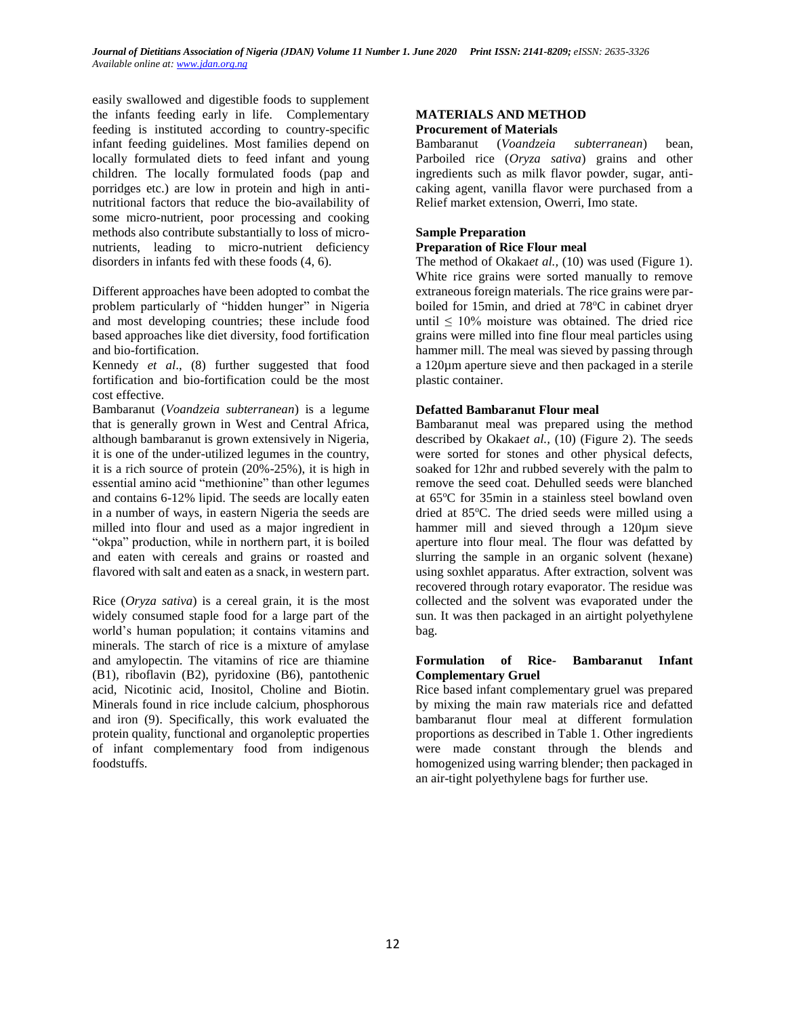easily swallowed and digestible foods to supplement the infants feeding early in life. Complementary feeding is instituted according to country-specific infant feeding guidelines. Most families depend on locally formulated diets to feed infant and young children. The locally formulated foods (pap and porridges etc.) are low in protein and high in antinutritional factors that reduce the bio-availability of some micro-nutrient, poor processing and cooking methods also contribute substantially to loss of micronutrients, leading to micro-nutrient deficiency disorders in infants fed with these foods (4, 6).

Different approaches have been adopted to combat the problem particularly of "hidden hunger" in Nigeria and most developing countries; these include food based approaches like diet diversity, food fortification and bio-fortification.

Kennedy *et al*., (8) further suggested that food fortification and bio-fortification could be the most cost effective.

Bambaranut (*Voandzeia subterranean*) is a legume that is generally grown in West and Central Africa, although bambaranut is grown extensively in Nigeria, it is one of the under-utilized legumes in the country, it is a rich source of protein (20%-25%), it is high in essential amino acid "methionine" than other legumes and contains 6-12% lipid. The seeds are locally eaten in a number of ways, in eastern Nigeria the seeds are milled into flour and used as a major ingredient in "okpa" production, while in northern part, it is boiled and eaten with cereals and grains or roasted and flavored with salt and eaten as a snack, in western part.

Rice (*Oryza sativa*) is a cereal grain, it is the most widely consumed staple food for a large part of the world's human population; it contains vitamins and minerals. The starch of rice is a mixture of amylase and amylopectin. The vitamins of rice are thiamine (B1), riboflavin (B2), pyridoxine (B6), pantothenic acid, Nicotinic acid, Inositol, Choline and Biotin. Minerals found in rice include calcium, phosphorous and iron (9). Specifically, this work evaluated the protein quality, functional and organoleptic properties of infant complementary food from indigenous foodstuffs.

### **MATERIALS AND METHOD Procurement of Materials**

Bambaranut (*Voandzeia subterranean*) bean, Parboiled rice (*Oryza sativa*) grains and other ingredients such as milk flavor powder, sugar, anticaking agent, vanilla flavor were purchased from a Relief market extension, Owerri, Imo state.

### **Sample Preparation Preparation of Rice Flour meal**

The method of Okaka*et al.,* (10) was used (Figure 1). White rice grains were sorted manually to remove extraneous foreign materials. The rice grains were parboiled for 15min, and dried at 78°C in cabinet dryer until  $\leq 10\%$  moisture was obtained. The dried rice grains were milled into fine flour meal particles using hammer mill. The meal was sieved by passing through a 120µm aperture sieve and then packaged in a sterile plastic container.

## **Defatted Bambaranut Flour meal**

Bambaranut meal was prepared using the method described by Okaka*et al.,* (10) (Figure 2). The seeds were sorted for stones and other physical defects, soaked for 12hr and rubbed severely with the palm to remove the seed coat. Dehulled seeds were blanched at 65<sup>o</sup>C for 35min in a stainless steel bowland oven dried at 85°C. The dried seeds were milled using a hammer mill and sieved through a 120µm sieve aperture into flour meal. The flour was defatted by slurring the sample in an organic solvent (hexane) using soxhlet apparatus. After extraction, solvent was recovered through rotary evaporator. The residue was collected and the solvent was evaporated under the sun. It was then packaged in an airtight polyethylene bag.

### **Formulation of Rice- Bambaranut Infant Complementary Gruel**

Rice based infant complementary gruel was prepared by mixing the main raw materials rice and defatted bambaranut flour meal at different formulation proportions as described in Table 1. Other ingredients were made constant through the blends and homogenized using warring blender; then packaged in an air-tight polyethylene bags for further use.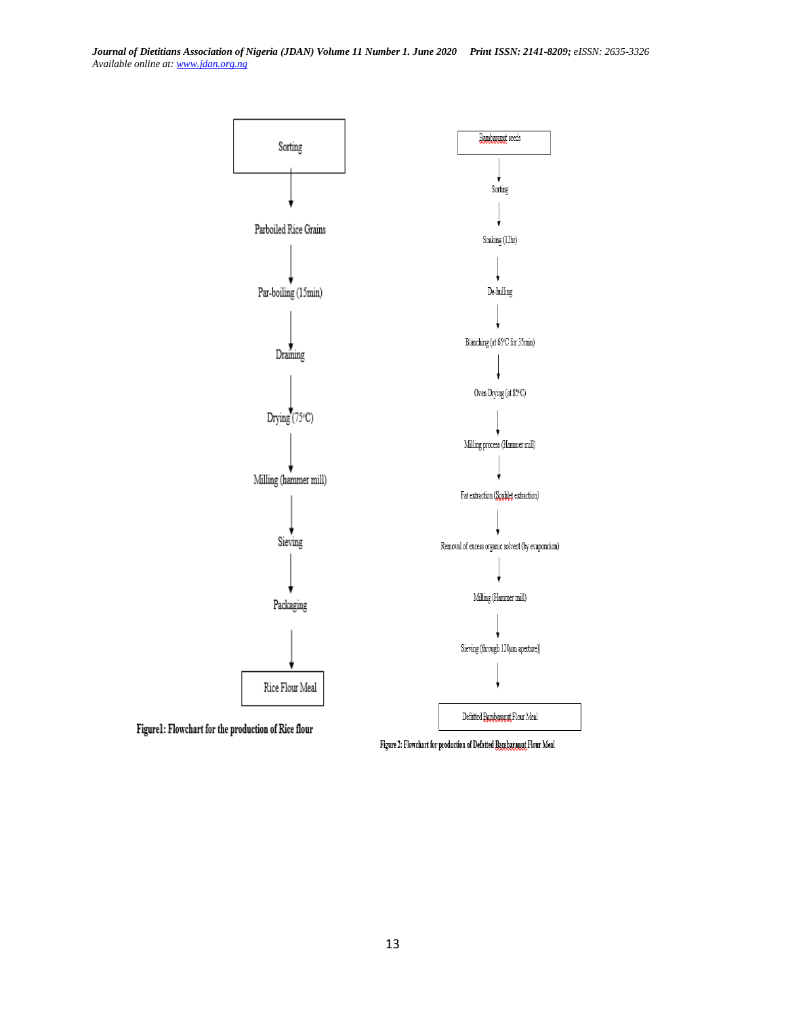

Figure 2: Flowchart for production of Defatted Bambaranut Flour Meal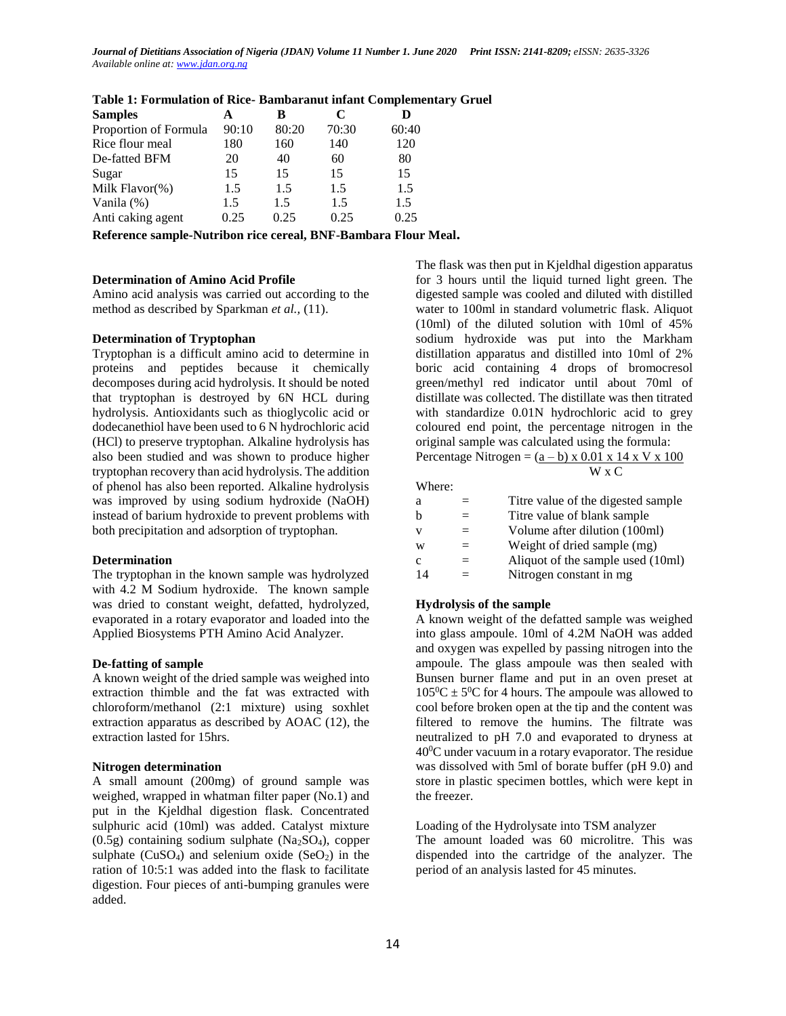| <b>Samples</b>        | А     | в     | C     |       |
|-----------------------|-------|-------|-------|-------|
| Proportion of Formula | 90:10 | 80:20 | 70:30 | 60:40 |
| Rice flour meal       | 180   | 160   | 140   | 120   |
| De-fatted BFM         | 20    | 40    | 60    | 80    |
| Sugar                 | 15    | 15    | 15    | 15    |
| Milk Flavor(%)        | 1.5   | 1.5   | 1.5   | 1.5   |
| Vanila $(\%)$         | 1.5   | 1.5   | 1.5   | 1.5   |
| Anti caking agent     | 0.25  | 0.25  | 0.25  | 0.25  |

## **Table 1: Formulation of Rice- Bambaranut infant Complementary Gruel**

**Reference sample-Nutribon rice cereal, BNF-Bambara Flour Meal.**

#### **Determination of Amino Acid Profile**

Amino acid analysis was carried out according to the method as described by Sparkman *et al.,* (11).

### **Determination of Tryptophan**

Tryptophan is a difficult amino acid to determine in proteins and peptides because it chemically decomposes during acid hydrolysis. It should be noted that tryptophan is destroyed by 6N HCL during hydrolysis. Antioxidants such as thioglycolic acid or dodecanethiol have been used to 6 N hydrochloric acid (HCl) to preserve tryptophan. Alkaline hydrolysis has also been studied and was shown to produce higher tryptophan recovery than acid hydrolysis. The addition of phenol has also been reported. Alkaline hydrolysis was improved by using sodium hydroxide (NaOH) instead of barium hydroxide to prevent problems with both precipitation and adsorption of tryptophan.

#### **Determination**

The tryptophan in the known sample was hydrolyzed with 4.2 M Sodium hydroxide. The known sample was dried to constant weight, defatted, hydrolyzed, evaporated in a rotary evaporator and loaded into the Applied Biosystems PTH Amino Acid Analyzer.

#### **De-fatting of sample**

A known weight of the dried sample was weighed into extraction thimble and the fat was extracted with chloroform/methanol (2:1 mixture) using soxhlet extraction apparatus as described by AOAC (12), the extraction lasted for 15hrs.

#### **Nitrogen determination**

A small amount (200mg) of ground sample was weighed, wrapped in whatman filter paper (No.1) and put in the Kjeldhal digestion flask. Concentrated sulphuric acid (10ml) was added. Catalyst mixture  $(0.5g)$  containing sodium sulphate  $(Na<sub>2</sub>SO<sub>4</sub>)$ , copper sulphate  $(CuSO_4)$  and selenium oxide  $(SeO_2)$  in the ration of 10:5:1 was added into the flask to facilitate digestion. Four pieces of anti-bumping granules were added.

The flask was then put in Kjeldhal digestion apparatus for 3 hours until the liquid turned light green. The digested sample was cooled and diluted with distilled water to 100ml in standard volumetric flask. Aliquot (10ml) of the diluted solution with 10ml of 45% sodium hydroxide was put into the Markham distillation apparatus and distilled into 10ml of 2% boric acid containing 4 drops of bromocresol green/methyl red indicator until about 70ml of distillate was collected. The distillate was then titrated with standardize 0.01N hydrochloric acid to grey coloured end point, the percentage nitrogen in the original sample was calculated using the formula: Percentage Nitrogen =  $(a - b)$  x 0.01 x 14 x V x 100 W x C

Where:

| а  |     | Titre value of the digested sample |
|----|-----|------------------------------------|
| h  | $=$ | Titre value of blank sample        |
| v  | $=$ | Volume after dilution (100ml)      |
| W  | $=$ | Weight of dried sample (mg)        |
| C  | $=$ | Aliquot of the sample used (10ml)  |
| 14 |     | Nitrogen constant in mg            |

#### **Hydrolysis of the sample**

A known weight of the defatted sample was weighed into glass ampoule. 10ml of 4.2M NaOH was added and oxygen was expelled by passing nitrogen into the ampoule. The glass ampoule was then sealed with Bunsen burner flame and put in an oven preset at  $105^0C \pm 5^0C$  for 4 hours. The ampoule was allowed to cool before broken open at the tip and the content was filtered to remove the humins. The filtrate was neutralized to pH 7.0 and evaporated to dryness at  $40^{\circ}$ C under vacuum in a rotary evaporator. The residue was dissolved with 5ml of borate buffer (pH 9.0) and store in plastic specimen bottles, which were kept in the freezer.

## Loading of the Hydrolysate into TSM analyzer

The amount loaded was 60 microlitre. This was dispended into the cartridge of the analyzer. The period of an analysis lasted for 45 minutes.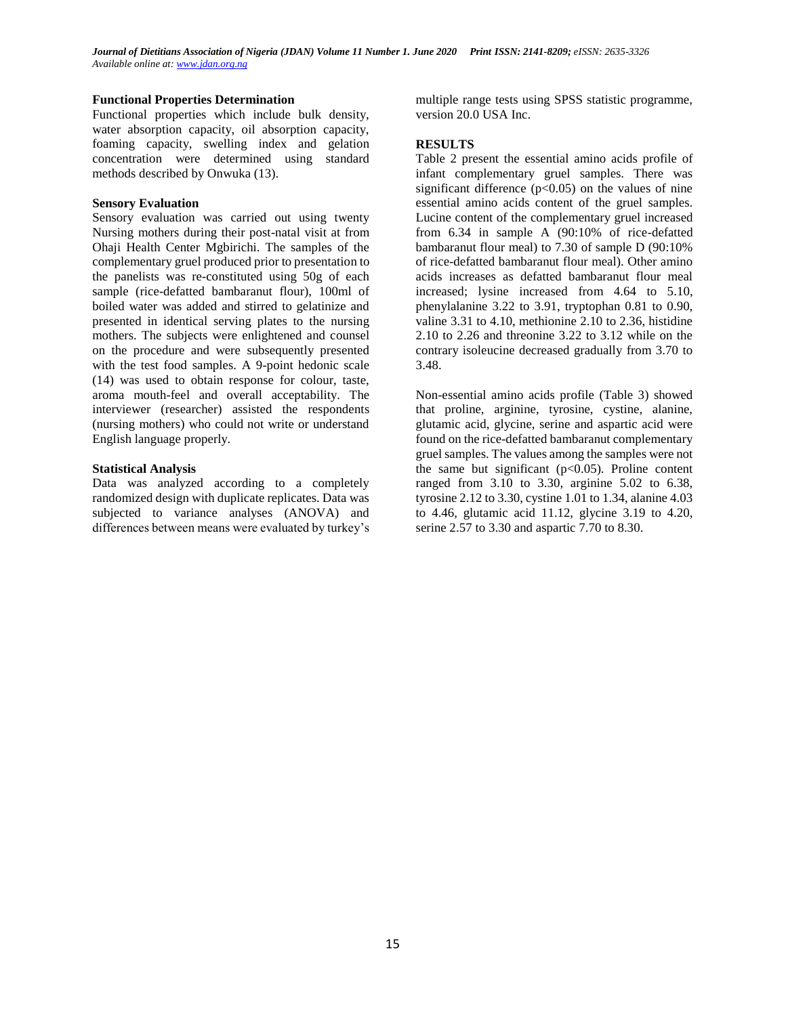### **Functional Properties Determination**

Functional properties which include bulk density, water absorption capacity, oil absorption capacity, foaming capacity, swelling index and gelation concentration were determined using standard methods described by Onwuka (13).

### **Sensory Evaluation**

Sensory evaluation was carried out using twenty Nursing mothers during their post-natal visit at from Ohaji Health Center Mgbirichi. The samples of the complementary gruel produced prior to presentation to the panelists was re-constituted using 50g of each sample (rice-defatted bambaranut flour), 100ml of boiled water was added and stirred to gelatinize and presented in identical serving plates to the nursing mothers. The subjects were enlightened and counsel on the procedure and were subsequently presented with the test food samples. A 9-point hedonic scale (14) was used to obtain response for colour, taste, aroma mouth-feel and overall acceptability. The interviewer (researcher) assisted the respondents (nursing mothers) who could not write or understand English language properly.

### **Statistical Analysis**

Data was analyzed according to a completely randomized design with duplicate replicates. Data was subjected to variance analyses (ANOVA) and differences between means were evaluated by turkey's multiple range tests using SPSS statistic programme, version 20.0 USA Inc.

### **RESULTS**

Table 2 present the essential amino acids profile of infant complementary gruel samples. There was significant difference  $(p<0.05)$  on the values of nine essential amino acids content of the gruel samples. Lucine content of the complementary gruel increased from 6.34 in sample A (90:10% of rice-defatted bambaranut flour meal) to 7.30 of sample D (90:10% of rice-defatted bambaranut flour meal). Other amino acids increases as defatted bambaranut flour meal increased; lysine increased from 4.64 to 5.10, phenylalanine 3.22 to 3.91, tryptophan 0.81 to 0.90, valine 3.31 to 4.10, methionine 2.10 to 2.36, histidine 2.10 to 2.26 and threonine 3.22 to 3.12 while on the contrary isoleucine decreased gradually from 3.70 to 3.48.

Non-essential amino acids profile (Table 3) showed that proline, arginine, tyrosine, cystine, alanine, glutamic acid, glycine, serine and aspartic acid were found on the rice-defatted bambaranut complementary gruel samples. The values among the samples were not the same but significant  $(p<0.05)$ . Proline content ranged from 3.10 to 3.30, arginine 5.02 to 6.38, tyrosine 2.12 to 3.30, cystine 1.01 to 1.34, alanine 4.03 to 4.46, glutamic acid 11.12, glycine 3.19 to 4.20, serine 2.57 to 3.30 and aspartic 7.70 to 8.30.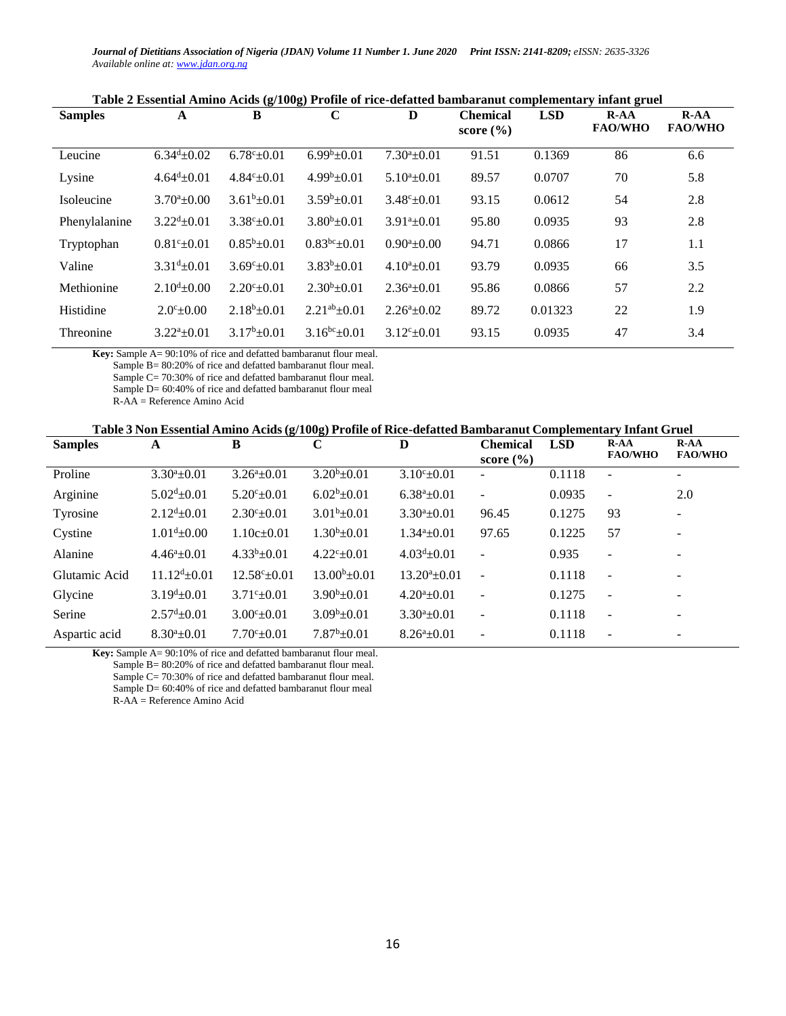| <b>Samples</b> | A                          | $\mathbf{v}$ – $\mathbf{v}$ – $\mathbf{v}$<br>B | $\mathbf C$                 | D                          | <b>Chemical</b><br>score $(\% )$ | <b>LSD</b> | $R-AA$<br><b>FAO/WHO</b> | $R-AA$<br><b>FAO/WHO</b> |
|----------------|----------------------------|-------------------------------------------------|-----------------------------|----------------------------|----------------------------------|------------|--------------------------|--------------------------|
| Leucine        | $6.34d \pm 0.02$           | $6.78^{\circ}$ ±0.01                            | $\frac{1}{6.99^b \pm 0.01}$ | $7.30^a \pm 0.01$          | 91.51                            | 0.1369     | 86                       | 6.6                      |
| Lysine         | $4.64^{\mathrm{d}}\pm0.01$ | $4.84^{\circ}$ ±0.01                            | $4.99b \pm 0.01$            | $5.10^a \pm 0.01$          | 89.57                            | 0.0707     | 70                       | 5.8                      |
| Isoleucine     | $3.70^a \pm 0.00$          | $3.61^b \pm 0.01$                               | $3.59^b \pm 0.01$           | $3.48^{\circ}$ ±0.01       | 93.15                            | 0.0612     | 54                       | 2.8                      |
| Phenylalanine  | $3.22^{d}+0.01$            | $3.38^{\circ} \pm 0.01$                         | $3.80^{b} \pm 0.01$         | $3.91^a \pm 0.01$          | 95.80                            | 0.0935     | 93                       | 2.8                      |
| Tryptophan     | $0.81^{\circ}$ ± 0.01      | $0.85^b \pm 0.01$                               | $0.83^{bc}$ ±0.01           | $0.90^a \pm 0.00$          | 94.71                            | 0.0866     | 17                       | 1.1                      |
| Valine         | $3.31^{d} \pm 0.01$        | $3.69^{\circ}+0.01$                             | $3.83^b \pm 0.01$           | $4.10^a \pm 0.01$          | 93.79                            | 0.0935     | 66                       | 3.5                      |
| Methionine     | $2.10^{d} \pm 0.00$        | $2.20^{\circ}$ ±0.01                            | $2.30^b \pm 0.01$           | $2.36^a \pm 0.01$          | 95.86                            | 0.0866     | 57                       | 2.2                      |
| Histidine      | $2.0^{\circ}$ ± 0.00       | $2.18b + 0.01$                                  | $2.21^{ab} \pm 0.01$        | $2.26^{\mathrm{a}}$ + 0.02 | 89.72                            | 0.01323    | 22                       | 1.9                      |
| Threonine      | $3.22^a \pm 0.01$          | $3.17^b \pm 0.01$                               | $3.16^{bc} \pm 0.01$        | $3.12^{\circ}$ ±0.01       | 93.15                            | 0.0935     | 47                       | 3.4                      |

| Table 2 Essential Amino Acids (g/100g) Profile of rice-defatted bambaranut complementary infant gruel |  |  |
|-------------------------------------------------------------------------------------------------------|--|--|
|                                                                                                       |  |  |

**Key:** Sample A= 90:10% of rice and defatted bambaranut flour meal.

Sample B= 80:20% of rice and defatted bambaranut flour meal.

 Sample C= 70:30% of rice and defatted bambaranut flour meal. Sample D= 60:40% of rice and defatted bambaranut flour meal

R-AA = Reference Amino Acid

|  | Table 3 Non Essential Amino Acids (g/100g) Profile of Rice-defatted Bambaranut Complementary Infant Gruel |
|--|-----------------------------------------------------------------------------------------------------------|
|--|-----------------------------------------------------------------------------------------------------------|

| <b>Samples</b> | A                          | B                        | C                    | D                     | <b>Chemical</b><br>score $(\% )$ | <b>LSD</b> | $R-AA$<br><b>FAO/WHO</b> | $R-AA$<br><b>FAO/WHO</b> |
|----------------|----------------------------|--------------------------|----------------------|-----------------------|----------------------------------|------------|--------------------------|--------------------------|
| Proline        | $3.30^a \pm 0.01$          | $3.26^a \pm 0.01$        | $3.20^b \pm 0.01$    | $3.10^{\circ}$ ± 0.01 | ۰                                | 0.1118     | $\overline{\phantom{a}}$ | -                        |
| Arginine       | $5.02^{\text{d}} \pm 0.01$ | $5.20^{\circ}$ ±0.01     | $6.02^b \pm 0.01$    | $6.38^a \pm 0.01$     | $\overline{\phantom{a}}$         | 0.0935     | $\overline{\phantom{a}}$ | 2.0                      |
| Tyrosine       | $2.12^{d} \pm 0.01$        | $2.30^{\circ}$ ±0.01     | $3.01b \pm 0.01$     | $3.30^a \pm 0.01$     | 96.45                            | 0.1275     | 93                       | $\overline{\phantom{a}}$ |
| Cystine        | $1.01^{\rm d} \pm 0.00$    | $1.10c \pm 0.01$         | $1.30^b \pm 0.01$    | $1.34^a \pm 0.01$     | 97.65                            | 0.1225     | 57                       | $\overline{\phantom{a}}$ |
| Alanine        | $4.46^a \pm 0.01$          | $4.33b \pm 0.01$         | $4.22^{\circ}$ ±0.01 | $4.03d \pm 0.01$      | $\overline{\phantom{a}}$         | 0.935      | $\overline{\phantom{a}}$ |                          |
| Glutamic Acid  | $11.12^{d} \pm 0.01$       | $12.58^{\circ} \pm 0.01$ | $13.00^b \pm 0.01$   | $13.20^a \pm 0.01$    | $\overline{\phantom{a}}$         | 0.1118     | $\sim$                   | ۰                        |
| Glycine        | $3.19^{\text{d}}\pm0.01$   | $3.71^{\circ}$ ±0.01     | $3.90^b \pm 0.01$    | $4.20^a \pm 0.01$     | ÷                                | 0.1275     | $\sim$                   |                          |
| Serine         | $2.57^{\mathrm{d}}\pm0.01$ | $3.00^{\circ}$ ±0.01     | $3.09^b \pm 0.01$    | $3.30^a + 0.01$       | ٠                                | 0.1118     | $\overline{\phantom{a}}$ | -                        |
| Aspartic acid  | $8.30^a \pm 0.01$          | $7.70^{\circ}$ ±0.01     | $7.87^b \pm 0.01$    | $8.26^a \pm 0.01$     |                                  | 0.1118     | $\overline{\phantom{a}}$ |                          |
|                |                            |                          |                      |                       |                                  |            |                          |                          |

**Key:** Sample A= 90:10% of rice and defatted bambaranut flour meal. Sample B= 80:20% of rice and defatted bambaranut flour meal. Sample C= 70:30% of rice and defatted bambaranut flour meal. Sample D= 60:40% of rice and defatted bambaranut flour meal R-AA = Reference Amino Acid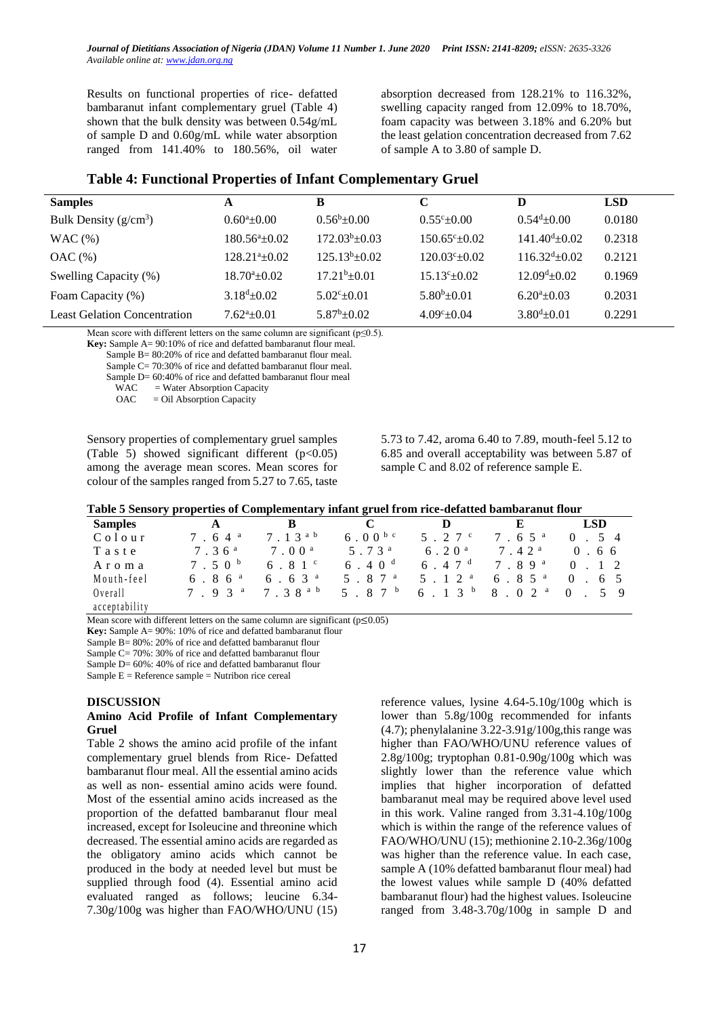Results on functional properties of rice- defatted bambaranut infant complementary gruel (Table 4) shown that the bulk density was between 0.54g/mL of sample D and 0.60g/mL while water absorption ranged from 141.40% to 180.56%, oil water

absorption decreased from 128.21% to 116.32%, swelling capacity ranged from 12.09% to 18.70%, foam capacity was between 3.18% and 6.20% but the least gelation concentration decreased from 7.62 of sample A to 3.80 of sample D.

| <b>Samples</b>                      | A                            | B                     | C                       | D                           | <b>LSD</b> |
|-------------------------------------|------------------------------|-----------------------|-------------------------|-----------------------------|------------|
| Bulk Density $(g/cm^3)$             | $0.60^a \pm 0.00$            | $0.56^{\rm b}$ ± 0.00 | $0.55^{\circ}$ + 0.00   | $0.54^{\mathrm{d}}\pm 0.00$ | 0.0180     |
| WAC(%)                              | $180.56^{\circ}+0.02$        | $172.03^b \pm 0.03$   | $150.65^{\circ}+0.02$   | $141.40^{\text{d}}\pm0.02$  | 0.2318     |
| OAC(%)                              | $128.21^{a}+0.02$            | $125.13^b \pm 0.02$   | $120.03^{\circ}$ + 0.02 | $116.32^{d} \pm 0.02$       | 0.2121     |
| Swelling Capacity (%)               | $18.70^{\circ}$ + 0.02       | $17.21b\pm0.01$       | $15.13^{\circ}$ + 0.02  | $12.09^{\mathrm{d}}\pm0.02$ | 0.1969     |
| Foam Capacity (%)                   | $3.18^{d} \pm 0.02$          | $5.02^{\circ}$ + 0.01 | $5.80^{b} \pm 0.01$     | $6.20^a \pm 0.03$           | 0.2031     |
| <b>Least Gelation Concentration</b> | $7.62^{\mathrm{a}} \pm 0.01$ | $5.87^b \pm 0.02$     | $4.09^{\circ}+0.04$     | $3.80^{d} \pm 0.01$         | 0.2291     |

## **Table 4: Functional Properties of Infant Complementary Gruel**

Mean score with different letters on the same column are significant ( $p \le 0.5$ ).

Key: Sample A= 90:10% of rice and defatted bambaranut flour meal.

Sample B= 80:20% of rice and defatted bambaranut flour meal.

Sample C= 70:30% of rice and defatted bambaranut flour meal.

Sample D= 60:40% of rice and defatted bambaranut flour meal

 $WAC$  = Water Absorption Capacity

OAC = Oil Absorption Capacity

Sensory properties of complementary gruel samples (Table 5) showed significant different  $(p<0.05)$ among the average mean scores. Mean scores for colour of the samples ranged from 5.27 to 7.65, taste

5.73 to 7.42, aroma 6.40 to 7.89, mouth-feel 5.12 to 6.85 and overall acceptability was between 5.87 of sample C and 8.02 of reference sample E.

| Table 5 Sensory properties of Complementary infant gruel from rice-defatted bambaranut flour |  |
|----------------------------------------------------------------------------------------------|--|
|----------------------------------------------------------------------------------------------|--|

| <b>Samples</b> |                     | В                   |                      | Ð                 |                     | <b>LSD</b>             |
|----------------|---------------------|---------------------|----------------------|-------------------|---------------------|------------------------|
| Colour         | $7.64$ <sup>a</sup> | 7.13 <sup>a</sup> b | $6.00^{b c}$         | 5.27c             | 7.65 <sup>a</sup>   | $\Omega$<br>$5\quad 4$ |
| Taste          | 7.36 <sup>a</sup>   | 7.00 <sup>a</sup>   | 5.73 <sup>a</sup>    | 6.20 <sup>a</sup> | 7.42 <sup>a</sup>   | 0.66                   |
| Aroma          | 7.50 <sup>b</sup>   | 6.81c               | 6.40 <sup>d</sup>    | 6.47 <sup>d</sup> | 7.89 <sup>a</sup>   | $1 \t2$                |
| Mouth-feel     | 6.86 <sup>a</sup>   | 6.63 <sup>a</sup>   | 5 . 8 7 <sup>a</sup> | 5 $12a$           | $6.85$ <sup>a</sup> | 6 5                    |
| Overall        | $7 \t9 \t3^a$       | 7.38 <sup>ab</sup>  | 5.87 <sup>b</sup>    | 6.13 <sup>b</sup> | 8.02 <sup>a</sup>   | $\Omega$<br>59         |
| acceptability  |                     |                     |                      |                   |                     |                        |

Mean score with different letters on the same column are significant ( $p \le 0.05$ )

**Key:** Sample A= 90%: 10% of rice and defatted bambaranut flour

Sample B= 80%: 20% of rice and defatted bambaranut flour

Sample C= 70%: 30% of rice and defatted bambaranut flour

Sample D= 60%: 40% of rice and defatted bambaranut flour

Sample  $E =$  Reference sample  $=$  Nutribon rice cereal

#### **DISCUSSION**

### **Amino Acid Profile of Infant Complementary Gruel**

Table 2 shows the amino acid profile of the infant complementary gruel blends from Rice- Defatted bambaranut flour meal. All the essential amino acids as well as non- essential amino acids were found. Most of the essential amino acids increased as the proportion of the defatted bambaranut flour meal increased, except for Isoleucine and threonine which decreased. The essential amino acids are regarded as the obligatory amino acids which cannot be produced in the body at needed level but must be supplied through food (4). Essential amino acid evaluated ranged as follows; leucine 6.34- 7.30g/100g was higher than FAO/WHO/UNU (15) reference values, lysine 4.64-5.10g/100g which is lower than 5.8g/100g recommended for infants (4.7); phenylalanine 3.22-3.91g/100g,this range was higher than FAO/WHO/UNU reference values of 2.8g/100g; tryptophan 0.81-0.90g/100g which was slightly lower than the reference value which implies that higher incorporation of defatted bambaranut meal may be required above level used in this work. Valine ranged from 3.31-4.10g/100g which is within the range of the reference values of FAO/WHO/UNU (15); methionine 2.10-2.36g/100g was higher than the reference value. In each case, sample A (10% defatted bambaranut flour meal) had the lowest values while sample D (40% defatted bambaranut flour) had the highest values. Isoleucine ranged from 3.48-3.70g/100g in sample D and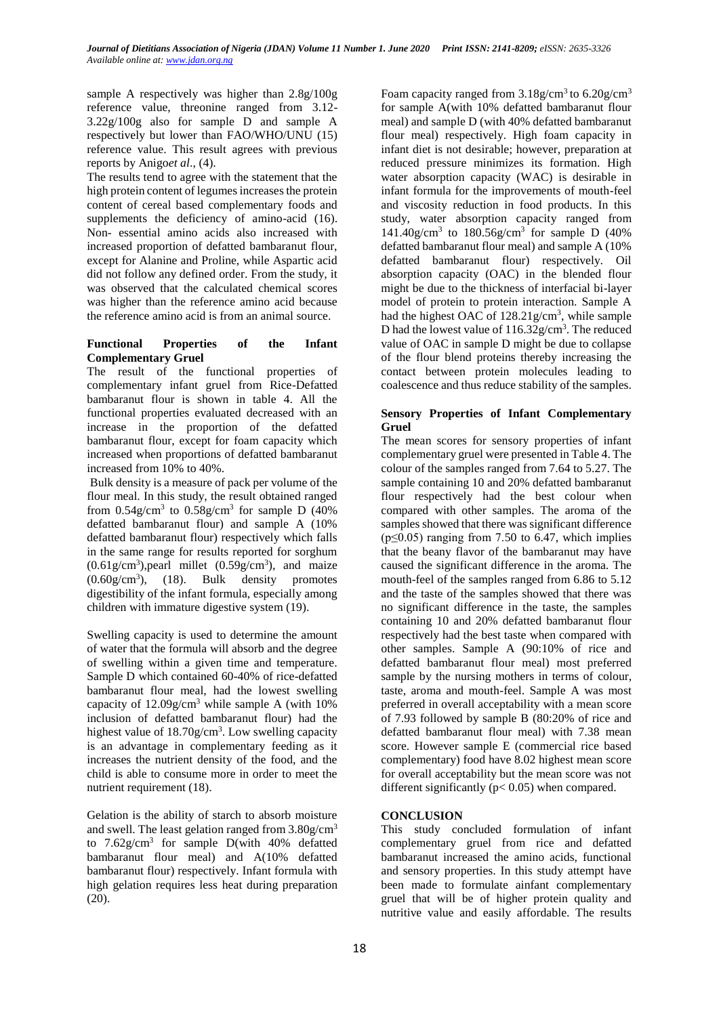sample A respectively was higher than 2.8g/100g reference value, threonine ranged from 3.12- 3.22g/100g also for sample D and sample A respectively but lower than FAO/WHO/UNU (15) reference value. This result agrees with previous reports by Anigo*et al*., (4).

The results tend to agree with the statement that the high protein content of legumes increases the protein content of cereal based complementary foods and supplements the deficiency of amino-acid (16). Non- essential amino acids also increased with increased proportion of defatted bambaranut flour, except for Alanine and Proline, while Aspartic acid did not follow any defined order. From the study, it was observed that the calculated chemical scores was higher than the reference amino acid because the reference amino acid is from an animal source.

## **Functional Properties of the Infant Complementary Gruel**

The result of the functional properties of complementary infant gruel from Rice-Defatted bambaranut flour is shown in table 4. All the functional properties evaluated decreased with an increase in the proportion of the defatted bambaranut flour, except for foam capacity which increased when proportions of defatted bambaranut increased from 10% to 40%.

Bulk density is a measure of pack per volume of the flour meal. In this study, the result obtained ranged from  $0.54$ g/cm<sup>3</sup> to  $0.58$ g/cm<sup>3</sup> for sample D (40%) defatted bambaranut flour) and sample A (10% defatted bambaranut flour) respectively which falls in the same range for results reported for sorghum  $(0.61g/cm<sup>3</sup>)$ , pearl millet  $(0.59g/cm<sup>3</sup>)$ , and maize  $(0.60g/cm<sup>3</sup>)$ , (18). Bulk density promotes digestibility of the infant formula, especially among children with immature digestive system (19).

Swelling capacity is used to determine the amount of water that the formula will absorb and the degree of swelling within a given time and temperature. Sample D which contained 60-40% of rice-defatted bambaranut flour meal, had the lowest swelling capacity of 12.09g/cm<sup>3</sup> while sample A (with 10% inclusion of defatted bambaranut flour) had the highest value of 18.70g/cm<sup>3</sup>. Low swelling capacity is an advantage in complementary feeding as it increases the nutrient density of the food, and the child is able to consume more in order to meet the nutrient requirement (18).

Gelation is the ability of starch to absorb moisture and swell. The least gelation ranged from 3.80g/cm<sup>3</sup> to  $7.62$ g/cm<sup>3</sup> for sample D(with 40% defatted bambaranut flour meal) and A(10% defatted bambaranut flour) respectively. Infant formula with high gelation requires less heat during preparation  $(20).$ 

Foam capacity ranged from  $3.18$ g/cm<sup>3</sup> to  $6.20$ g/cm<sup>3</sup> for sample A(with 10% defatted bambaranut flour meal) and sample D (with 40% defatted bambaranut flour meal) respectively. High foam capacity in infant diet is not desirable; however, preparation at reduced pressure minimizes its formation. High water absorption capacity (WAC) is desirable in infant formula for the improvements of mouth-feel and viscosity reduction in food products. In this study, water absorption capacity ranged from 141.40g/cm<sup>3</sup> to 180.56g/cm<sup>3</sup> for sample D (40% defatted bambaranut flour meal) and sample A (10% defatted bambaranut flour) respectively. Oil absorption capacity (OAC) in the blended flour might be due to the thickness of interfacial bi-layer model of protein to protein interaction. Sample A had the highest OAC of 128.21g/cm<sup>3</sup>, while sample D had the lowest value of  $116.32$  g/cm<sup>3</sup>. The reduced value of OAC in sample D might be due to collapse of the flour blend proteins thereby increasing the contact between protein molecules leading to coalescence and thus reduce stability of the samples.

## **Sensory Properties of Infant Complementary Gruel**

The mean scores for sensory properties of infant complementary gruel were presented in Table 4. The colour of the samples ranged from 7.64 to 5.27. The sample containing 10 and 20% defatted bambaranut flour respectively had the best colour when compared with other samples. The aroma of the samples showed that there was significant difference  $(p \le 0.05)$  ranging from 7.50 to 6.47, which implies that the beany flavor of the bambaranut may have caused the significant difference in the aroma. The mouth-feel of the samples ranged from 6.86 to 5.12 and the taste of the samples showed that there was no significant difference in the taste, the samples containing 10 and 20% defatted bambaranut flour respectively had the best taste when compared with other samples. Sample A (90:10% of rice and defatted bambaranut flour meal) most preferred sample by the nursing mothers in terms of colour, taste, aroma and mouth-feel. Sample A was most preferred in overall acceptability with a mean score of 7.93 followed by sample B (80:20% of rice and defatted bambaranut flour meal) with 7.38 mean score. However sample E (commercial rice based complementary) food have 8.02 highest mean score for overall acceptability but the mean score was not different significantly ( $p < 0.05$ ) when compared.

# **CONCLUSION**

This study concluded formulation of infant complementary gruel from rice and defatted bambaranut increased the amino acids, functional and sensory properties. In this study attempt have been made to formulate ainfant complementary gruel that will be of higher protein quality and nutritive value and easily affordable. The results